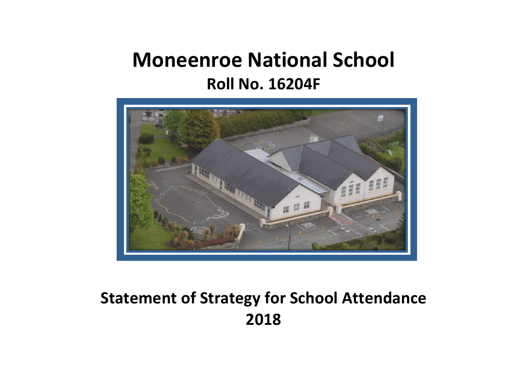## **Moneenroe National School Roll No. 16204F**



## **Statement of Strategy for School Attendance 2018**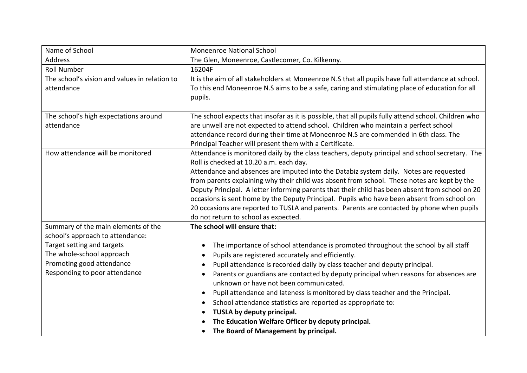| Name of School                                | <b>Moneenroe National School</b>                                                                     |
|-----------------------------------------------|------------------------------------------------------------------------------------------------------|
| <b>Address</b>                                | The Glen, Moneenroe, Castlecomer, Co. Kilkenny.                                                      |
| <b>Roll Number</b>                            | 16204F                                                                                               |
| The school's vision and values in relation to | It is the aim of all stakeholders at Moneenroe N.S that all pupils have full attendance at school.   |
| attendance                                    | To this end Moneenroe N.S aims to be a safe, caring and stimulating place of education for all       |
|                                               | pupils.                                                                                              |
|                                               |                                                                                                      |
| The school's high expectations around         | The school expects that insofar as it is possible, that all pupils fully attend school. Children who |
| attendance                                    | are unwell are not expected to attend school. Children who maintain a perfect school                 |
|                                               | attendance record during their time at Moneenroe N.S are commended in 6th class. The                 |
|                                               | Principal Teacher will present them with a Certificate.                                              |
| How attendance will be monitored              | Attendance is monitored daily by the class teachers, deputy principal and school secretary. The      |
|                                               | Roll is checked at 10.20 a.m. each day.                                                              |
|                                               | Attendance and absences are imputed into the Databiz system daily. Notes are requested               |
|                                               | from parents explaining why their child was absent from school. These notes are kept by the          |
|                                               | Deputy Principal. A letter informing parents that their child has been absent from school on 20      |
|                                               | occasions is sent home by the Deputy Principal. Pupils who have been absent from school on           |
|                                               | 20 occasions are reported to TUSLA and parents. Parents are contacted by phone when pupils           |
|                                               | do not return to school as expected.                                                                 |
| Summary of the main elements of the           | The school will ensure that:                                                                         |
| school's approach to attendance:              |                                                                                                      |
| Target setting and targets                    | The importance of school attendance is promoted throughout the school by all staff<br>٠              |
| The whole-school approach                     | Pupils are registered accurately and efficiently.<br>٠                                               |
| Promoting good attendance                     | Pupil attendance is recorded daily by class teacher and deputy principal.<br>$\bullet$               |
| Responding to poor attendance                 | Parents or guardians are contacted by deputy principal when reasons for absences are                 |
|                                               | unknown or have not been communicated.                                                               |
|                                               | Pupil attendance and lateness is monitored by class teacher and the Principal.                       |
|                                               | School attendance statistics are reported as appropriate to:<br>$\bullet$                            |
|                                               | TUSLA by deputy principal.                                                                           |
|                                               | The Education Welfare Officer by deputy principal.                                                   |
|                                               | The Board of Management by principal.                                                                |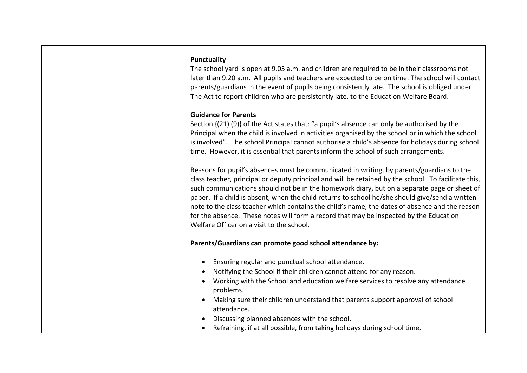The school vard is open at 9.05 a.m. and children are required to be in their classrooms not later than 9.20 a.m. All pupils and teachers are expected to be on time. The school will contact parents/guardians in the event of pupils being consistently late. The school is obliged under The Act to report children who are persistently late, to the Education Welfare Board.

## **Guidance for Parents**

Section  $\{(21)$   $(9)\}$  of the Act states that: "a pupil's absence can only be authorised by the Principal when the child is involved in activities organised by the school or in which the school is involved". The school Principal cannot authorise a child's absence for holidays during school time. However, it is essential that parents inform the school of such arrangements.

Reasons for pupil's absences must be communicated in writing, by parents/guardians to the class teacher, principal or deputy principal and will be retained by the school. To facilitate this, such communications should not be in the homework diary, but on a separate page or sheet of paper. If a child is absent, when the child returns to school he/she should give/send a written note to the class teacher which contains the child's name, the dates of absence and the reason for the absence. These notes will form a record that may be inspected by the Education Welfare Officer on a visit to the school.

## Parents/Guardians can promote good school attendance by:

- Ensuring regular and punctual school attendance.
- Notifying the School if their children cannot attend for any reason.
- Working with the School and education welfare services to resolve any attendance problems.
- Making sure their children understand that parents support approval of school attendance.
- Discussing planned absences with the school.
- Refraining, if at all possible, from taking holidays during school time.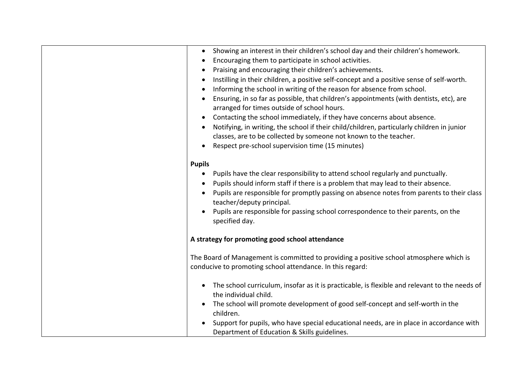| Showing an interest in their children's school day and their children's homework.<br>$\bullet$<br>Encouraging them to participate in school activities.<br>Praising and encouraging their children's achievements.<br>Instilling in their children, a positive self-concept and a positive sense of self-worth.<br>Informing the school in writing of the reason for absence from school.<br>Ensuring, in so far as possible, that children's appointments (with dentists, etc), are<br>arranged for times outside of school hours.<br>Contacting the school immediately, if they have concerns about absence.<br>$\bullet$<br>Notifying, in writing, the school if their child/children, particularly children in junior<br>classes, are to be collected by someone not known to the teacher.<br>Respect pre-school supervision time (15 minutes) |
|----------------------------------------------------------------------------------------------------------------------------------------------------------------------------------------------------------------------------------------------------------------------------------------------------------------------------------------------------------------------------------------------------------------------------------------------------------------------------------------------------------------------------------------------------------------------------------------------------------------------------------------------------------------------------------------------------------------------------------------------------------------------------------------------------------------------------------------------------|
| <b>Pupils</b><br>Pupils have the clear responsibility to attend school regularly and punctually.<br>$\bullet$<br>Pupils should inform staff if there is a problem that may lead to their absence.<br>$\bullet$<br>Pupils are responsible for promptly passing on absence notes from parents to their class<br>teacher/deputy principal.<br>Pupils are responsible for passing school correspondence to their parents, on the<br>specified day.                                                                                                                                                                                                                                                                                                                                                                                                     |
| A strategy for promoting good school attendance                                                                                                                                                                                                                                                                                                                                                                                                                                                                                                                                                                                                                                                                                                                                                                                                    |
| The Board of Management is committed to providing a positive school atmosphere which is<br>conducive to promoting school attendance. In this regard:                                                                                                                                                                                                                                                                                                                                                                                                                                                                                                                                                                                                                                                                                               |
| The school curriculum, insofar as it is practicable, is flexible and relevant to the needs of<br>the individual child.<br>The school will promote development of good self-concept and self-worth in the<br>children.<br>Support for pupils, who have special educational needs, are in place in accordance with<br>Department of Education & Skills guidelines.                                                                                                                                                                                                                                                                                                                                                                                                                                                                                   |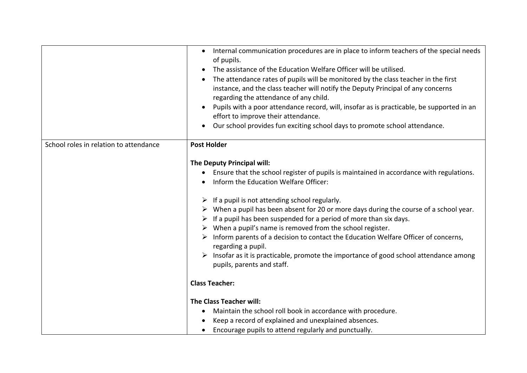|                                        | Internal communication procedures are in place to inform teachers of the special needs<br>$\bullet$<br>of pupils.<br>The assistance of the Education Welfare Officer will be utilised.<br>The attendance rates of pupils will be monitored by the class teacher in the first<br>instance, and the class teacher will notify the Deputy Principal of any concerns<br>regarding the attendance of any child.<br>Pupils with a poor attendance record, will, insofar as is practicable, be supported in an<br>effort to improve their attendance.<br>Our school provides fun exciting school days to promote school attendance.                                                                                                                   |
|----------------------------------------|------------------------------------------------------------------------------------------------------------------------------------------------------------------------------------------------------------------------------------------------------------------------------------------------------------------------------------------------------------------------------------------------------------------------------------------------------------------------------------------------------------------------------------------------------------------------------------------------------------------------------------------------------------------------------------------------------------------------------------------------|
| School roles in relation to attendance | <b>Post Holder</b>                                                                                                                                                                                                                                                                                                                                                                                                                                                                                                                                                                                                                                                                                                                             |
|                                        | The Deputy Principal will:<br>Ensure that the school register of pupils is maintained in accordance with regulations.<br>Inform the Education Welfare Officer:<br>$\triangleright$ If a pupil is not attending school regularly.<br>$\triangleright$ When a pupil has been absent for 20 or more days during the course of a school year.<br>If a pupil has been suspended for a period of more than six days.<br>$\triangleright$ When a pupil's name is removed from the school register.<br>$\triangleright$ Inform parents of a decision to contact the Education Welfare Officer of concerns,<br>regarding a pupil.<br>Insofar as it is practicable, promote the importance of good school attendance among<br>pupils, parents and staff. |
|                                        | <b>Class Teacher:</b>                                                                                                                                                                                                                                                                                                                                                                                                                                                                                                                                                                                                                                                                                                                          |
|                                        |                                                                                                                                                                                                                                                                                                                                                                                                                                                                                                                                                                                                                                                                                                                                                |
|                                        | <b>The Class Teacher will:</b>                                                                                                                                                                                                                                                                                                                                                                                                                                                                                                                                                                                                                                                                                                                 |
|                                        | Maintain the school roll book in accordance with procedure.<br>$\bullet$                                                                                                                                                                                                                                                                                                                                                                                                                                                                                                                                                                                                                                                                       |
|                                        | Keep a record of explained and unexplained absences.                                                                                                                                                                                                                                                                                                                                                                                                                                                                                                                                                                                                                                                                                           |
|                                        | Encourage pupils to attend regularly and punctually.<br>$\bullet$                                                                                                                                                                                                                                                                                                                                                                                                                                                                                                                                                                                                                                                                              |